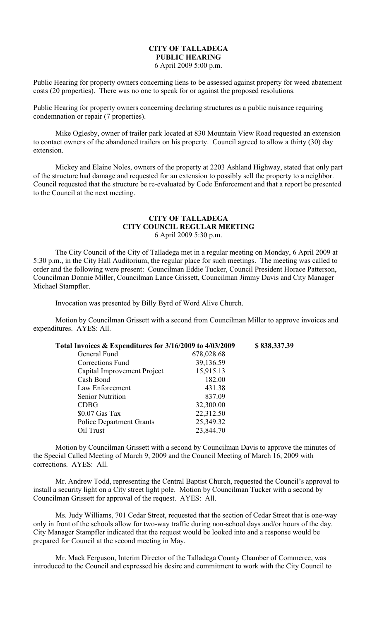## **CITY OF TALLADEGA PUBLIC HEARING** 6 April 2009 5:00 p.m.

Public Hearing for property owners concerning liens to be assessed against property for weed abatement costs (20 properties). There was no one to speak for or against the proposed resolutions.

Public Hearing for property owners concerning declaring structures as a public nuisance requiring condemnation or repair (7 properties).

Mike Oglesby, owner of trailer park located at 830 Mountain View Road requested an extension to contact owners of the abandoned trailers on his property. Council agreed to allow a thirty (30) day extension.

Mickey and Elaine Noles, owners of the property at 2203 Ashland Highway, stated that only part of the structure had damage and requested for an extension to possibly sell the property to a neighbor. Council requested that the structure be re-evaluated by Code Enforcement and that a report be presented to the Council at the next meeting.

## **CITY OF TALLADEGA CITY COUNCIL REGULAR MEETING** 6 April 2009 5:30 p.m.

The City Council of the City of Talladega met in a regular meeting on Monday, 6 April 2009 at 5:30 p.m., in the City Hall Auditorium, the regular place for such meetings. The meeting was called to order and the following were present: Councilman Eddie Tucker, Council President Horace Patterson, Councilman Donnie Miller, Councilman Lance Grissett, Councilman Jimmy Davis and City Manager Michael Stampfler.

Invocation was presented by Billy Byrd of Word Alive Church.

Motion by Councilman Grissett with a second from Councilman Miller to approve invoices and expenditures. AYES: All.

| Total Invoices & Expenditures for 3/16/2009 to 4/03/2009 |            | \$838,337.39 |
|----------------------------------------------------------|------------|--------------|
| General Fund                                             | 678,028.68 |              |
| Corrections Fund                                         | 39,136.59  |              |
| Capital Improvement Project                              | 15,915.13  |              |
| Cash Bond                                                | 182.00     |              |
| Law Enforcement                                          | 431.38     |              |
| <b>Senior Nutrition</b>                                  | 837.09     |              |
| <b>CDBG</b>                                              | 32,300.00  |              |
| $$0.07$ Gas Tax                                          | 22,312.50  |              |
| <b>Police Department Grants</b>                          | 25,349.32  |              |
| Oil Trust                                                | 23,844.70  |              |

Motion by Councilman Grissett with a second by Councilman Davis to approve the minutes of the Special Called Meeting of March 9, 2009 and the Council Meeting of March 16, 2009 with corrections. AYES: All.

Mr. Andrew Todd, representing the Central Baptist Church, requested the Council's approval to install a security light on a City street light pole. Motion by Councilman Tucker with a second by Councilman Grissett for approval of the request. AYES: All.

Ms. Judy Williams, 701 Cedar Street, requested that the section of Cedar Street that is one-way only in front of the schools allow for two-way traffic during non-school days and/or hours of the day. City Manager Stampfler indicated that the request would be looked into and a response would be prepared for Council at the second meeting in May.

Mr. Mack Ferguson, Interim Director of the Talladega County Chamber of Commerce, was introduced to the Council and expressed his desire and commitment to work with the City Council to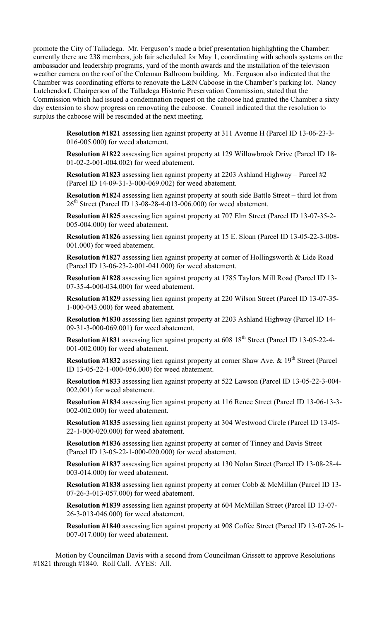promote the City of Talladega. Mr. Ferguson's made a brief presentation highlighting the Chamber: currently there are 238 members, job fair scheduled for May 1, coordinating with schools systems on the ambassador and leadership programs, yard of the month awards and the installation of the television weather camera on the roof of the Coleman Ballroom building. Mr. Ferguson also indicated that the Chamber was coordinating efforts to renovate the L&N Caboose in the Chamber's parking lot. Nancy Lutchendorf, Chairperson of the Talladega Historic Preservation Commission, stated that the Commission which had issued a condemnation request on the caboose had granted the Chamber a sixty day extension to show progress on renovating the caboose. Council indicated that the resolution to surplus the caboose will be rescinded at the next meeting.

> **Resolution #1821** assessing lien against property at 311 Avenue H (Parcel ID 13-06-23-3- 016-005.000) for weed abatement.

> **Resolution #1822** assessing lien against property at 129 Willowbrook Drive (Parcel ID 18- 01-02-2-001-004.002) for weed abatement.

**Resolution #1823** assessing lien against property at 2203 Ashland Highway – Parcel #2 (Parcel ID 14-09-31-3-000-069.002) for weed abatement.

**Resolution #1824** assessing lien against property at south side Battle Street – third lot from 26<sup>th</sup> Street (Parcel ID 13-08-28-4-013-006.000) for weed abatement.

**Resolution #1825** assessing lien against property at 707 Elm Street (Parcel ID 13-07-35-2- 005-004.000) for weed abatement.

**Resolution #1826** assessing lien against property at 15 E. Sloan (Parcel ID 13-05-22-3-008- 001.000) for weed abatement.

**Resolution #1827** assessing lien against property at corner of Hollingsworth & Lide Road (Parcel ID 13-06-23-2-001-041.000) for weed abatement.

**Resolution #1828** assessing lien against property at 1785 Taylors Mill Road (Parcel ID 13- 07-35-4-000-034.000) for weed abatement.

**Resolution #1829** assessing lien against property at 220 Wilson Street (Parcel ID 13-07-35- 1-000-043.000) for weed abatement.

**Resolution #1830** assessing lien against property at 2203 Ashland Highway (Parcel ID 14- 09-31-3-000-069.001) for weed abatement.

**Resolution #1831** assessing lien against property at 608 18<sup>th</sup> Street (Parcel ID 13-05-22-4-001-002.000) for weed abatement.

**Resolution #1832** assessing lien against property at corner Shaw Ave. & 19<sup>th</sup> Street (Parcel ID 13-05-22-1-000-056.000) for weed abatement.

**Resolution #1833** assessing lien against property at 522 Lawson (Parcel ID 13-05-22-3-004- 002.001) for weed abatement.

**Resolution #1834** assessing lien against property at 116 Renee Street (Parcel ID 13-06-13-3- 002-002.000) for weed abatement.

**Resolution #1835** assessing lien against property at 304 Westwood Circle (Parcel ID 13-05- 22-1-000-020.000) for weed abatement.

**Resolution #1836** assessing lien against property at corner of Tinney and Davis Street (Parcel ID 13-05-22-1-000-020.000) for weed abatement.

**Resolution #1837** assessing lien against property at 130 Nolan Street (Parcel ID 13-08-28-4- 003-014.000) for weed abatement.

**Resolution #1838** assessing lien against property at corner Cobb & McMillan (Parcel ID 13- 07-26-3-013-057.000) for weed abatement.

**Resolution #1839** assessing lien against property at 604 McMillan Street (Parcel ID 13-07- 26-3-013-046.000) for weed abatement.

**Resolution #1840** assessing lien against property at 908 Coffee Street (Parcel ID 13-07-26-1- 007-017.000) for weed abatement.

Motion by Councilman Davis with a second from Councilman Grissett to approve Resolutions #1821 through #1840. Roll Call. AYES: All.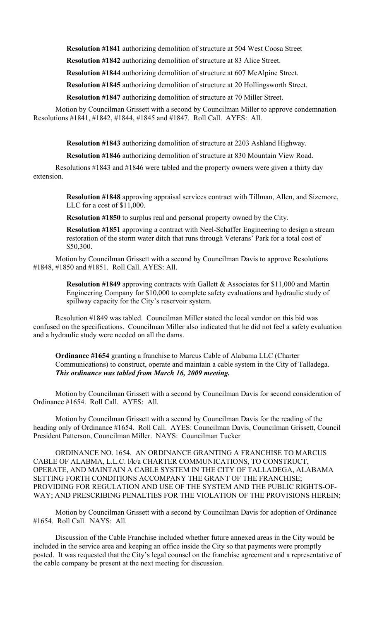**Resolution #1841** authorizing demolition of structure at 504 West Coosa Street

**Resolution #1842** authorizing demolition of structure at 83 Alice Street.

**Resolution #1844** authorizing demolition of structure at 607 McAlpine Street.

**Resolution #1845** authorizing demolition of structure at 20 Hollingsworth Street.

**Resolution #1847** authorizing demolition of structure at 70 Miller Street.

Motion by Councilman Grissett with a second by Councilman Miller to approve condemnation Resolutions #1841, #1842, #1844, #1845 and #1847. Roll Call. AYES: All.

**Resolution #1843** authorizing demolition of structure at 2203 Ashland Highway.

**Resolution #1846** authorizing demolition of structure at 830 Mountain View Road.

Resolutions #1843 and #1846 were tabled and the property owners were given a thirty day extension.

> **Resolution #1848** approving appraisal services contract with Tillman, Allen, and Sizemore, LLC for a cost of \$11,000.

**Resolution #1850** to surplus real and personal property owned by the City.

**Resolution #1851** approving a contract with Neel-Schaffer Engineering to design a stream restoration of the storm water ditch that runs through Veterans' Park for a total cost of \$50,300.

Motion by Councilman Grissett with a second by Councilman Davis to approve Resolutions #1848, #1850 and #1851. Roll Call. AYES: All.

> **Resolution #1849** approving contracts with Gallett & Associates for \$11,000 and Martin Engineering Company for \$10,000 to complete safety evaluations and hydraulic study of spillway capacity for the City's reservoir system.

Resolution #1849 was tabled. Councilman Miller stated the local vendor on this bid was confused on the specifications. Councilman Miller also indicated that he did not feel a safety evaluation and a hydraulic study were needed on all the dams.

**Ordinance #1654** granting a franchise to Marcus Cable of Alabama LLC (Charter Communications) to construct, operate and maintain a cable system in the City of Talladega. *This ordinance was tabled from March 16, 2009 meeting.*

Motion by Councilman Grissett with a second by Councilman Davis for second consideration of Ordinance #1654. Roll Call. AYES: All.

Motion by Councilman Grissett with a second by Councilman Davis for the reading of the heading only of Ordinance #1654. Roll Call. AYES: Councilman Davis, Councilman Grissett, Council President Patterson, Councilman Miller. NAYS: Councilman Tucker

ORDINANCE NO. 1654. AN ORDINANCE GRANTING A FRANCHISE TO MARCUS CABLE OF ALABMA, L.L.C. l/k/a CHARTER COMMUNICATIONS, TO CONSTRUCT, OPERATE, AND MAINTAIN A CABLE SYSTEM IN THE CITY OF TALLADEGA, ALABAMA SETTING FORTH CONDITIONS ACCOMPANY THE GRANT OF THE FRANCHISE; PROVIDING FOR REGULATION AND USE OF THE SYSTEM AND THE PUBLIC RIGHTS-OF-WAY; AND PRESCRIBING PENALTIES FOR THE VIOLATION OF THE PROVISIONS HEREIN;

Motion by Councilman Grissett with a second by Councilman Davis for adoption of Ordinance #1654. Roll Call. NAYS: All.

Discussion of the Cable Franchise included whether future annexed areas in the City would be included in the service area and keeping an office inside the City so that payments were promptly posted. It was requested that the City's legal counsel on the franchise agreement and a representative of the cable company be present at the next meeting for discussion.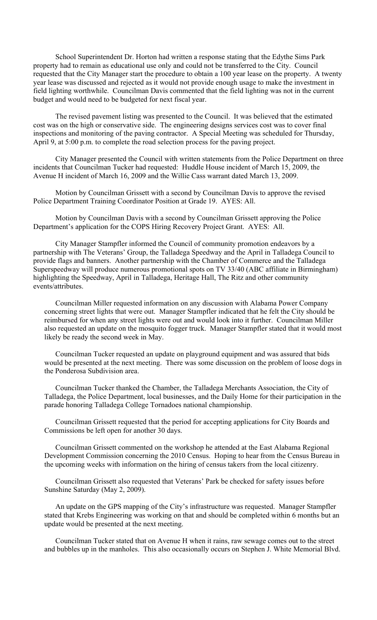School Superintendent Dr. Horton had written a response stating that the Edythe Sims Park property had to remain as educational use only and could not be transferred to the City. Council requested that the City Manager start the procedure to obtain a 100 year lease on the property. A twenty year lease was discussed and rejected as it would not provide enough usage to make the investment in field lighting worthwhile. Councilman Davis commented that the field lighting was not in the current budget and would need to be budgeted for next fiscal year.

The revised pavement listing was presented to the Council. It was believed that the estimated cost was on the high or conservative side. The engineering designs services cost was to cover final inspections and monitoring of the paving contractor. A Special Meeting was scheduled for Thursday, April 9, at 5:00 p.m. to complete the road selection process for the paving project.

City Manager presented the Council with written statements from the Police Department on three incidents that Councilman Tucker had requested: Huddle House incident of March 15, 2009, the Avenue H incident of March 16, 2009 and the Willie Cass warrant dated March 13, 2009.

Motion by Councilman Grissett with a second by Councilman Davis to approve the revised Police Department Training Coordinator Position at Grade 19. AYES: All.

Motion by Councilman Davis with a second by Councilman Grissett approving the Police Department's application for the COPS Hiring Recovery Project Grant. AYES: All.

City Manager Stampfler informed the Council of community promotion endeavors by a partnership with The Veterans' Group, the Talladega Speedway and the April in Talladega Council to provide flags and banners. Another partnership with the Chamber of Commerce and the Talladega Superspeedway will produce numerous promotional spots on TV 33/40 (ABC affiliate in Birmingham) highlighting the Speedway, April in Talladega, Heritage Hall, The Ritz and other community events/attributes.

Councilman Miller requested information on any discussion with Alabama Power Company concerning street lights that were out. Manager Stampfler indicated that he felt the City should be reimbursed for when any street lights were out and would look into it further. Councilman Miller also requested an update on the mosquito fogger truck. Manager Stampfler stated that it would most likely be ready the second week in May.

Councilman Tucker requested an update on playground equipment and was assured that bids would be presented at the next meeting. There was some discussion on the problem of loose dogs in the Ponderosa Subdivision area.

Councilman Tucker thanked the Chamber, the Talladega Merchants Association, the City of Talladega, the Police Department, local businesses, and the Daily Home for their participation in the parade honoring Talladega College Tornadoes national championship.

Councilman Grissett requested that the period for accepting applications for City Boards and Commissions be left open for another 30 days.

Councilman Grissett commented on the workshop he attended at the East Alabama Regional Development Commission concerning the 2010 Census. Hoping to hear from the Census Bureau in the upcoming weeks with information on the hiring of census takers from the local citizenry.

Councilman Grissett also requested that Veterans' Park be checked for safety issues before Sunshine Saturday (May 2, 2009).

An update on the GPS mapping of the City's infrastructure was requested. Manager Stampfler stated that Krebs Engineering was working on that and should be completed within 6 months but an update would be presented at the next meeting.

Councilman Tucker stated that on Avenue H when it rains, raw sewage comes out to the street and bubbles up in the manholes. This also occasionally occurs on Stephen J. White Memorial Blvd.